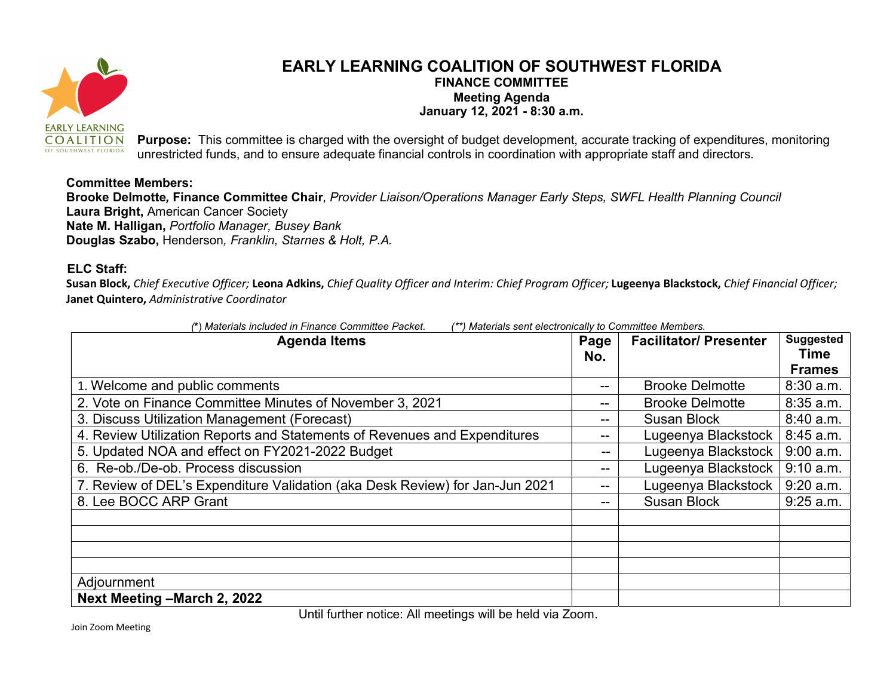

## EARLY LEARNING COALITION OF SOUTHWEST FLORIDA FINANCE COMMITTEE Meeting Agenda January 12, 2021 - 8:30 a.m.

Purpose: This committee is charged with the oversight of budget development, accurate tracking of expenditures, monitoring unrestricted funds, and to ensure adequate financial controls in coordination with appropriate staff and directors.

## Committee Members:

Brooke Delmotte, Finance Committee Chair, Provider Liaison/Operations Manager Early Steps, SWFL Health Planning Council Laura Bright, American Cancer Society Nate M. Halligan, Portfolio Manager, Busey Bank Douglas Szabo, Henderson, Franklin, Starnes & Holt, P.A.

## ELC Staff:

Susan Block, Chief Executive Officer; Leona Adkins, Chief Quality Officer and Interim: Chief Program Officer; Lugeenya Blackstock, Chief Financial Officer; Janet Quintero, Administrative Coordinator

| <sup>**</sup> ) Materials sent electronically to Committee Members.<br>(*) Materials included in Finance Committee Packet. |             |                               |                                           |
|----------------------------------------------------------------------------------------------------------------------------|-------------|-------------------------------|-------------------------------------------|
| <b>Agenda Items</b>                                                                                                        | Page<br>No. | <b>Facilitator/ Presenter</b> | <b>Suggested</b><br>Time<br><b>Frames</b> |
| 1. Welcome and public comments                                                                                             | --          | <b>Brooke Delmotte</b>        | 8:30 a.m.                                 |
| 2. Vote on Finance Committee Minutes of November 3, 2021                                                                   | --          | <b>Brooke Delmotte</b>        | 8:35 a.m.                                 |
| 3. Discuss Utilization Management (Forecast)                                                                               | --          | <b>Susan Block</b>            | 8:40 a.m.                                 |
| 4. Review Utilization Reports and Statements of Revenues and Expenditures                                                  | --          | Lugeenya Blackstock           | 8:45 a.m.                                 |
| 5. Updated NOA and effect on FY2021-2022 Budget                                                                            | --          | Lugeenya Blackstock           | $9:00$ a.m.                               |
| 6. Re-ob./De-ob. Process discussion                                                                                        | --          | Lugeenya Blackstock           | 9:10 a.m.                                 |
| 7. Review of DEL's Expenditure Validation (aka Desk Review) for Jan-Jun 2021                                               | --          | Lugeenya Blackstock           | 9:20 a.m.                                 |
| 8. Lee BOCC ARP Grant                                                                                                      | --          | <b>Susan Block</b>            | $9:25$ a.m.                               |
|                                                                                                                            |             |                               |                                           |
|                                                                                                                            |             |                               |                                           |
|                                                                                                                            |             |                               |                                           |
|                                                                                                                            |             |                               |                                           |
| Adjournment                                                                                                                |             |                               |                                           |
| Next Meeting - March 2, 2022                                                                                               |             |                               |                                           |

Until further notice: All meetings will be held via Zoom.